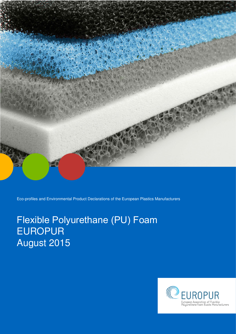

Eco-profiles and Environmental Product Declarations of the European Plastics Manufacturers

# Flexible Polyurethane (PU) Foam EUROPUR August 2015

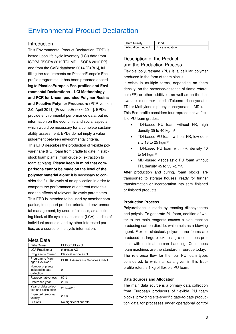# Environmental Product Declaration

#### **Introduction**

This Environmental Product Declaration (EPD) is based upon life cycle inventory (LCI) data from ISOPA [ISOPA 2012 TDI-MDI, ISOPA 2012 PP] and from the GaBi database 2014 [GABI 6], fulfilling the requirements on PlasticsEurope's Ecoprofile programme. It has been prepared according to **PlasticsEurope's Eco-profiles and Environmental Declarations – LCI Methodology and PCR for Uncompounded Polymer Resins and Reactive Polymer Precursors** (PCR version 2.0, April 2011) [PLASTICSEUROPE 2011]. EPDs provide environmental performance data, but no information on the economic and social aspects which would be necessary for a complete sustainability assessment. EPDs do not imply a value judgement between environmental criteria. This EPD describes the production of flexible polyurethane (PU) foam from cradle to gate in slabstock foam plants (from crude oil extraction to foam at plant). **Please keep in mind that comparisons cannot be made on the level of the polymer material alone**: it is necessary to consider the full life cycle of an application in order to compare the performance of different materials and the effects of relevant life cycle parameters. This EPD is intended to be used by member companies, to support product-orientated environmental management; by users of plastics, as a building block of life cycle assessment (LCA) studies of individual products; and by other interested parties, as a source of life cycle information.

#### Meta Data

| iviou Duu                                          |                               |
|----------------------------------------------------|-------------------------------|
| Data Owner                                         | EUROPUR aisbl                 |
| <b>LCA Practitioner</b>                            | thinkstep AG                  |
| Programme Owner                                    | PlasticsEurope aisbl          |
| Programme Man-<br>ager, Reviewer                   | DEKRA Assurance Services GmbH |
| Number of plants<br>included in data<br>collection | 9                             |
| Representativeness                                 | 60%                           |
| Reference year                                     | 2013                          |
| Year of data collec-<br>tion and calculation       | 2014-2015                     |
| Expected temporal<br>validity                      | 2023                          |
| Cut-offs                                           | No significant cut-offs       |

| Data Quality      | Good             |
|-------------------|------------------|
| Allocation method | Price allocation |

# Description of the Product and the Production Process

Flexible polyurethane (PU) is a cellular polymer produced in the form of foam blocks.

It exists in multiple forms, depending on foam density, on the presence/absence of flame retardant (FR) or other additives, as well as on the isocyanate monomer used (Toluene diisocyanate-TDI or Methylene diphenyl diisocyanate – MDI).

This Eco-profile considers four representative flexible PU foam grades:

- TDI-based PU foam without FR, high density 35 to 40 kg/m<sup>3</sup>
- TDI-based PU foam without FR, low density 18 to 25 kg/m<sup>3</sup>
- TDI-based PU foam with FR, density 40 to  $54$  kg/m<sup>3</sup>
- MDI-based viscoelastic PU foam without FR, density 45 to 53 kg/m<sup>3</sup>.

After production and curing, foam blocks are transported to storage houses, ready for further transformation or incorporation into semi-finished or finished products.

#### **Production Process**

Polyurethane is made by reacting diisocyanates and polyols. To generate PU foam, addition of water to the main reagents causes a side reaction producing carbon dioxide, which acts as a blowing agent. Flexible slabstock polyurethane foams are produced as large blocks using a continuous process with minimal human handling. Continuous foam machines are the standard in Europe today. The reference flow for the four PU foam types considered, to which all data given in this Ecoprofile refer, is 1 kg of flexible PU foam.

#### **Data Sources and Allocation**

The main data source is a primary data collection from European producers of flexible PU foam blocks, providing site-specific gate-to-gate production data for processes under operational control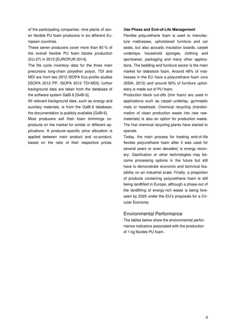of the participating companies: nine plants of seven flexible PU foam producers in six different European countries.

These seven producers cover more than 60 % of the overall flexible PU foam blocks production (EU-27) in 2013 [EUROPUR 2014].

The life cycle inventory data for the three main precursors long-chain polyether polyol, TDI and MDI are from two 2012 ISOPA Eco-profile studies [ISOPA 2012 PP, ISOPA 2012 TDI-MDI]; further background data are taken from the database of the software system GaBi 6 [GABI 6].

All relevant background data, such as energy and auxiliary materials, is from the GaBi 6 database; the documentation is publicly available [GABI 6].

Most producers sell their foam trimmings coproducts on the market for similar or different applications. A producer-specific price allocation is applied between main product and co-product, based on the ratio of their respective prices.

#### **Use Phase and End-of-Life Management**

Flexible polyurethane foam is used to manufacture mattresses, upholstered furniture and car seats, but also acoustic insulation boards, carpet underlays, household sponges, clothing and sportswear, packaging and many other applications. The bedding and furniture sector is the main market for slabstock foam. Around 48% of mattresses in the EU have a polyurethane foam core (EBIA, 2012) and around 90% of furniture upholstery is made out of PU foam.

Production block cut-offs (trim foam) are used in applications such as carpet underlay, gymnastic mats or headrests. Chemical recycling (transformation of clean production waste into new rawmaterials) is also an option for production waste. The first chemical recycling plants have started to operate.

Today, the main process for treating end-of-life flexible polyurethane foam after it was used for several years or even decades) is energy recovery. Gasification or other technologies may become processing options in the future but still have to demonstrate economic and technical feasibility on an industrial scale. Finally, a proportion of products containing polyurethane foam is still being landfilled in Europe, although a phase-out of the landfilling of energy-rich waste is being foreseen by 2025 under the EU's proposals for a Circular Economy.

#### Environmental Performance

The tables below show the environmental performance indicators associated with the production of 1 kg flexible PU foam.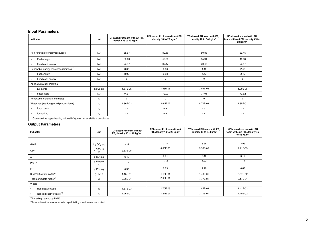#### **Input Parameters**

| Indicator                                                                     | Unit     | TDI-based PU foam without FR,<br>density 35 to 40 kg/m <sup>3</sup> | TDI-based PU foam without FR.<br>density 18 to 25 kg/m <sup>3</sup> | TDI-based PU foam with FR.<br>density 40 to 54 kg/m <sup>3</sup> | <b>MDI-based viscoelastic PU</b><br>foam with-out FR, density 45 to<br>53 $kg/m3$ |  |  |
|-------------------------------------------------------------------------------|----------|---------------------------------------------------------------------|---------------------------------------------------------------------|------------------------------------------------------------------|-----------------------------------------------------------------------------------|--|--|
|                                                                               |          |                                                                     |                                                                     |                                                                  |                                                                                   |  |  |
| Non-renewable energy resources <sup>1)</sup>                                  | MJ       | 85.67                                                               | 82.56                                                               | 89.38                                                            | 82.45                                                                             |  |  |
| Fuel energy                                                                   | MJ       | 52.20                                                               | 49.09                                                               | 55.91                                                            | 48.98                                                                             |  |  |
| Feedstock energy                                                              | MJ       | 33.47                                                               | 33.47                                                               | 33.47                                                            | 33.47                                                                             |  |  |
| Renewable energy resources (biomass) <sup>1)</sup>                            | MJ       | 3.00                                                                | 2.98                                                                | 4.42                                                             | 2.49                                                                              |  |  |
| Fuel energy<br>٠                                                              | MJ       | 3.00                                                                | 2.98                                                                | 4.42                                                             | 2.49                                                                              |  |  |
| Feedstock energy                                                              | MJ       | 0                                                                   | 0                                                                   | $\mathbf 0$                                                      | 0                                                                                 |  |  |
| Abiotic Depletion Potential                                                   |          |                                                                     |                                                                     |                                                                  |                                                                                   |  |  |
| Elements                                                                      | kg Sb eq | 1.57E-05                                                            | 1.55E-05                                                            | 3.09E-05                                                         | 1.00E-05                                                                          |  |  |
| Fossil fuels                                                                  | MJ       | 74.97                                                               | 72.03                                                               | 77.91                                                            | 72.62                                                                             |  |  |
| Renewable materials (biomass)                                                 | kg       | 0                                                                   | $\mathbf 0$                                                         | $\mathbf 0$                                                      | $\mathbf 0$                                                                       |  |  |
| Water use (key foreground process level)                                      | kg       | 1.86E-02                                                            | 2.64E-02                                                            | 8.70E-03                                                         | 1.85E-01                                                                          |  |  |
| for process<br>٠                                                              | kg       | n.a.                                                                | n.a.                                                                | n.a.                                                             | n.a.                                                                              |  |  |
| for cooling                                                                   | kg       | n.a.                                                                | n.a.                                                                | n.a.                                                             | n.a.                                                                              |  |  |
| $1)$ Calculated as upper heating value (UHV); na= not available - details see |          |                                                                     |                                                                     |                                                                  |                                                                                   |  |  |

#### **Output Parameters**

| Indicator                                                                                                                     | Unit                  | <b>TDI-based PU foam without</b><br>FR, density 35 to 40 kg/m <sup>3</sup> | <b>TDI-based PU foam without</b><br>FR, density 18 to 25 kg/m <sup>3</sup> | TDI-based PU foam with FR,<br>density 40 to 54 $kg/m3$ | <b>MDI-based viscoelastic PU</b><br>foam with-out FR, density 45<br>to 53 kg/ $m3$ |  |
|-------------------------------------------------------------------------------------------------------------------------------|-----------------------|----------------------------------------------------------------------------|----------------------------------------------------------------------------|--------------------------------------------------------|------------------------------------------------------------------------------------|--|
|                                                                                                                               |                       |                                                                            |                                                                            |                                                        |                                                                                    |  |
| GWP                                                                                                                           | kg CO <sub>2</sub> eq | 3.22                                                                       | 3.18                                                                       | 3.56                                                   | 2.95                                                                               |  |
| ODP                                                                                                                           | g CFC-11<br>eq        | 3.83E-05                                                                   | 4.08E-05                                                                   | 3.53E-05                                               | $2.71E-03$                                                                         |  |
| AP                                                                                                                            | g SO <sub>2</sub> eq  | 6.48                                                                       | 6.31                                                                       | 7.40                                                   | 6.17                                                                               |  |
| <b>POCP</b>                                                                                                                   | g Ethene<br>eq        | 1.18                                                                       | 1.12                                                                       | 1.22                                                   | 1.11                                                                               |  |
| EP                                                                                                                            | $g PO4$ eq            | 0.99                                                                       | 0.99                                                                       | 1.16                                                   | 0.89                                                                               |  |
| Dust/particulate matter <sup>2)</sup>                                                                                         | g PM10                | 1.15E-01                                                                   | 1.13E-01                                                                   | 1.40E-01                                               | 9.67E-02                                                                           |  |
| Total particulate matter <sup>2)</sup>                                                                                        | g                     | 2.66E-01                                                                   | 2.65E-01                                                                   | 4.77E-01                                               | 2.17E-01                                                                           |  |
| Waste                                                                                                                         |                       |                                                                            |                                                                            |                                                        |                                                                                    |  |
| Radioactive waste<br>٠                                                                                                        | kg                    | 1.67E-03                                                                   | 1.70E-03                                                                   | 1.85E-03                                               | 1.42E-03                                                                           |  |
| Non-radioactive waste <sup>3)</sup>                                                                                           | kg                    | 1.26E-01                                                                   | 1.24E-01                                                                   | $3.11E-01$                                             | 7.40E-02                                                                           |  |
| <sup>2)</sup> Including secondary PM10<br><sup>3)</sup> Non-radioactive wastes include: spoil, tailings, and waste, deposited |                       |                                                                            |                                                                            |                                                        |                                                                                    |  |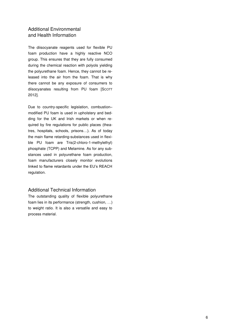# Additional Environmental and Health Information

The diisocyanate reagents used for flexible PU foam production have a highly reactive NCO group. This ensures that they are fully consumed during the chemical reaction with polyols yielding the polyurethane foam. Hence, they cannot be released into the air from the foam. That is why there cannot be any exposure of consumers to diisocyanates resulting from PU foam [SCOTT 2012].

Due to country-specific legislation, combustion– modified PU foam is used in upholstery and bedding for the UK and Irish markets or when required by fire regulations for public places (theatres, hospitals, schools, prisons…). As of today the main flame retarding-substances used in flexible PU foam are Tris(2-chloro-1-methylethyl) phosphate (TCPP) and Melamine. As for any substances used in polyurethane foam production, foam manufacturers closely monitor evolutions linked to flame retardants under the EU's REACH regulation.

# Additional Technical Information

The outstanding quality of flexible polyurethane foam lies in its performance (strength, cushion, …) to weight ratio. It is also a versatile and easy to process material.